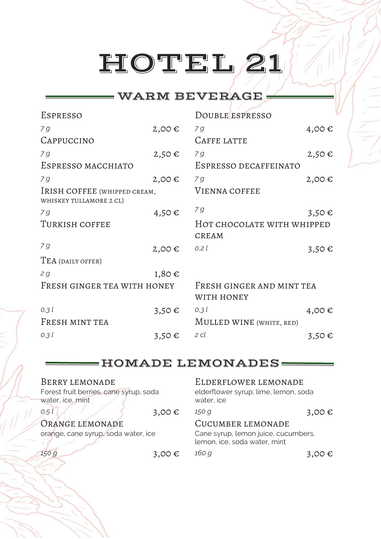#### WARM BEVERAGE

| ESPRESSO                                                |            | DOUBLE ESPRESSO                         |            |
|---------------------------------------------------------|------------|-----------------------------------------|------------|
| 7 <sub>g</sub>                                          | $2,00 \in$ | 7 <sub>g</sub>                          | 4,00€      |
| CAPPUCCINO                                              |            | CAFFE LATTE                             |            |
| 79                                                      | $2,50 \in$ | 79                                      | $2,50 \in$ |
| ESPRESSO MACCHIATO                                      |            | ESPRESSO DECAFFEINATO                   |            |
| 79                                                      | $2,00 \in$ | 79                                      | $2,00 \in$ |
| IRISH COFFEE (WHIPPED CREAM,<br>WHISKEY TULLAMORE 2 CL) |            | <b>VIENNA COFFEE</b>                    |            |
| 7 g                                                     | 4,50€      | 7 <sub>g</sub>                          | $3,50 \in$ |
| TURKISH COFFEE                                          |            | HOT CHOCOLATE WITH WHIPPED              |            |
|                                                         |            | <b>CREAM</b>                            |            |
| 7 <sub>g</sub>                                          | $2,00 \in$ | 0.2l                                    | $3,50 \in$ |
| TEA (DAILY OFFER)                                       |            |                                         |            |
| 2g                                                      | $1,80 \in$ |                                         |            |
| FRESH GINGER TEA WITH HONEY                             |            | FRESH GINGER AND MINT TEA<br>WITH HONEY |            |
| 0,3l                                                    | $3,50 \in$ | $0,3$ l                                 | 4,00 $\in$ |
| FRESH MINT TEA                                          |            | MULLED WINE (WHITE, RED)                |            |
| $0,3$ l                                                 | $3,50 \in$ | 2 cl                                    | $3,50 \in$ |

#### HOMADE LEMONADES

| BERRY LEMONADE<br>Forest fruit berries, cane syrup, soda<br>water, ice, mint |            | ELDERFLOWER LEMONADE<br>elderflower syrup, lime, lemon, soda<br>water, ice |        |
|------------------------------------------------------------------------------|------------|----------------------------------------------------------------------------|--------|
| 0,5 l                                                                        | 3,00 $\in$ | 150 g                                                                      | 3,00 € |
| ORANGE LEMONADE                                                              |            | CUCUMBER LEMONADE                                                          |        |
| orange, cane syrup, soda water, ice                                          |            | Cane syrup, lemon juice, cucumbers,<br>lemon, ice, soda water, mint        |        |
| 150 g                                                                        | 3,00 €     | 160 g                                                                      | 3,00 € |
|                                                                              |            |                                                                            |        |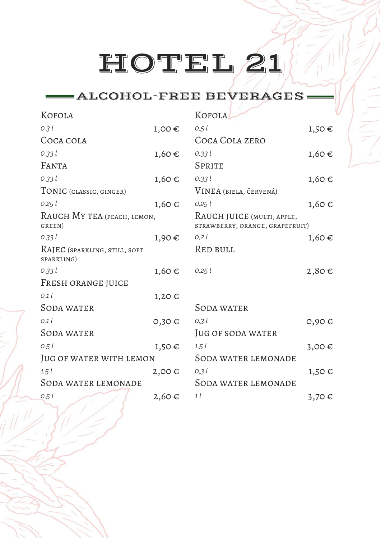### ALCOHOL-FREE BEVERAGES

| KOFOLA                                      |            | KOFOLA                                                        |            |
|---------------------------------------------|------------|---------------------------------------------------------------|------------|
| 0,31                                        | $1,00 \in$ | 0.5l                                                          | $1,50 \in$ |
| COCA COLA                                   |            | COCA COLA ZERO                                                |            |
| 0,331                                       | $1,60 \in$ | 0,331                                                         | $1,60 \in$ |
| <b>FANTA</b>                                |            | <b>SPRITE</b>                                                 |            |
| 0,331                                       | $1,60 \in$ | 0,331                                                         | $1,60 \in$ |
| TONIC (CLASSIC, GINGER)                     |            | VINEA (BIELA, ČERVENÁ)                                        |            |
| $0,25$ $l$                                  | 1,60€      | $0,25$ $l$                                                    | $1,60 \in$ |
| RAUCH MY TEA (PEACH, LEMON,<br>GREEN)       |            | RAUCH JUICE (MULTI, APPLE,<br>STRAWBERRY, ORANGE, GRAPEFRUIT) |            |
| 0,331                                       | 1,90€      | $0,2$ $l$                                                     | $1,60 \in$ |
| RAJEC (SPARKLING, STILL, SOFT<br>SPARKLING) |            | RED BULL                                                      |            |
| 0,331                                       | $1,60 \in$ | $0,25$ $l$                                                    | $2,80 \in$ |
| FRESH ORANGE JUICE                          |            |                                                               |            |
| 0,1                                         | $1,20 \in$ |                                                               |            |
| <b>SODA WATER</b>                           |            | <b>SODA WATER</b>                                             |            |
| 0,1                                         | $0,30 \in$ | $0,3$ l                                                       | $0,90 \in$ |
| SODA WATER                                  |            | JUG OF SODA WATER                                             |            |
| 0.5l                                        | $1,50 \in$ | $1,5$ $l$                                                     | 3,00€      |
| JUG OF WATER WITH LEMON                     |            | <b>SODA WATER LEMONADE</b>                                    |            |
| 1,5                                         | $2,00 \in$ | 0,31                                                          | $1,50 \in$ |
| <b>SODA WATER LEMONADE</b>                  |            | SODA WATER LEMONADE                                           |            |
| 0.5l                                        | $2,60 \in$ | 1 <sub>l</sub>                                                | 3,70 €     |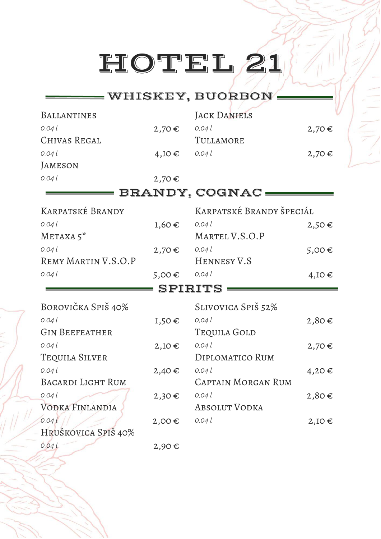### WHISKEY, BUORBON

| <b>BALLANTINES</b>       |            | <b>JACK DANIELS</b>       |            |
|--------------------------|------------|---------------------------|------------|
| 0,04                     | $2,70 \in$ | 0.04l                     | $2,70 \in$ |
| CHIVAS REGAL             |            | TULLAMORE                 |            |
| 0,04                     | $4,10 \in$ | 0,04                      | $2,70 \in$ |
| <b>JAMESON</b>           |            |                           |            |
| 0,04                     | $2,70 \in$ |                           |            |
|                          |            | BRANDY, COGNAC :          |            |
| KARPATSKÉ BRANDY         |            | KARPATSKÉ BRANDY ŠPECIÁL  |            |
| 0,04                     | 1,60€      | 0,04                      | $2,50 \in$ |
| METAXA 5                 |            | MARTEL V.S.O.P            |            |
| 0,04                     | $2,70 \in$ | 0,04                      | 5,00€      |
| REMY MARTIN V.S.O.P      |            | HENNESY V.S               |            |
| 0,04                     | $5,00 \in$ | 0,04                      | $4,10 \in$ |
|                          |            |                           |            |
|                          |            | <b>SPIRITS:</b>           |            |
| BOROVIČKA SPIŠ 40%       |            | SLIVOVICA SPIŠ 52%        |            |
| 0,04                     | $1,50 \in$ | 0,04                      | $2,80 \in$ |
| <b>GIN BEEFEATHER</b>    |            | Tequila Gold              |            |
| 0,04                     | $2,10 \in$ | 0,04                      | $2,70 \in$ |
| TEQUILA SILVER           |            | DIPLOMATICO RUM           |            |
| 0,04                     | $2,40 \in$ | 0,04                      | 4,20€      |
| <b>BACARDI LIGHT RUM</b> |            | <b>CAPTAIN MORGAN RUM</b> |            |
| 0,04 l                   | $2,30 \in$ | 0,04 l                    | $2,80 \in$ |
| VODKA FINLANDIA          |            | ABSOLUT VODKA             |            |
| 0,04l                    | $2,00 \in$ | 0,04                      | $2,10 \in$ |
| HRUŠKOVICA SPIŠ 40%      |            |                           |            |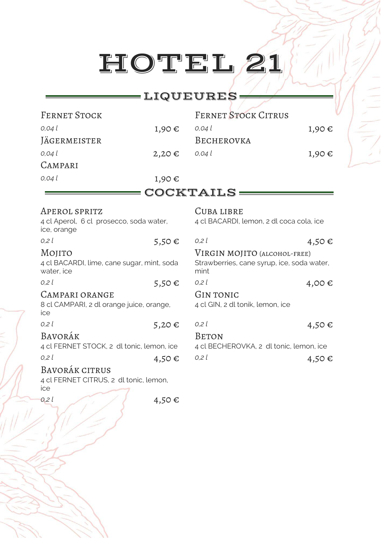#### **\_\_\_\_LIQUEURES=**

| <b>FERNET STOCK</b>                                                     |            | <b>FERNET STOCK CITRUS</b>                             |            |
|-------------------------------------------------------------------------|------------|--------------------------------------------------------|------------|
| 0,04 l                                                                  | 1,90€      | 0,04                                                   | $1,90 \in$ |
| <b>JÄGERMEISTER</b>                                                     |            | BECHEROVKA                                             |            |
| 0,04 l                                                                  | $2,20 \in$ | 0,04                                                   | $1,90 \in$ |
| CAMPARI                                                                 |            |                                                        |            |
| 0,04 l                                                                  | 1,90€      |                                                        |            |
|                                                                         |            | COCKTAILS:                                             |            |
| APEROL SPRITZ<br>4 cl Aperol, 6 cl prosecco, soda water,<br>ice, orange |            | CUBA LIBRE<br>4 cl BACARDI, lemon, 2 dl coca cola, ice |            |

| 0,2                                                                              | 5,50 $\epsilon$ | 0.2l                                                         | 4,50€                                      |
|----------------------------------------------------------------------------------|-----------------|--------------------------------------------------------------|--------------------------------------------|
| MOJITO<br>4 cl BACARDI, lime, cane sugar, mint, soda<br>water, ice               |                 | VIRGIN MOJITO (ALCOHOL-FREE)<br>mint                         | Strawberries, cane syrup, ice, soda water, |
| 0.2l<br><b>CAMPARI ORANGE</b><br>8 cl CAMPARI, 2 dl orange juice, orange,<br>ice | 5,50 $\epsilon$ | 0.2l<br><b>GIN TONIC</b><br>4 cl GIN, 2 dl tonik, lemon, ice | 4,00 $\in$                                 |
| 0,2                                                                              | $5,20 \in$      | 0.2 l                                                        | 4,50 $\in$                                 |

Bavorák citrus

4 cl FERNET CITRUS, 2 dl tonic, lemon, ice

*0,2 l* 4,50 €

| VIRGIN MOJITO (ALCOHOL-FREE)<br>Strawberries, cane syrup, ice, soda water, |
|----------------------------------------------------------------------------|
|                                                                            |
|                                                                            |
| 4,00 €                                                                     |
|                                                                            |
| 4,50€                                                                      |
| 4 cl BECHEROVKA, 2 dl tonic, lemon, ice                                    |
|                                                                            |

*0,2 l* **4,50 €** *0,2 l* 4,50 €